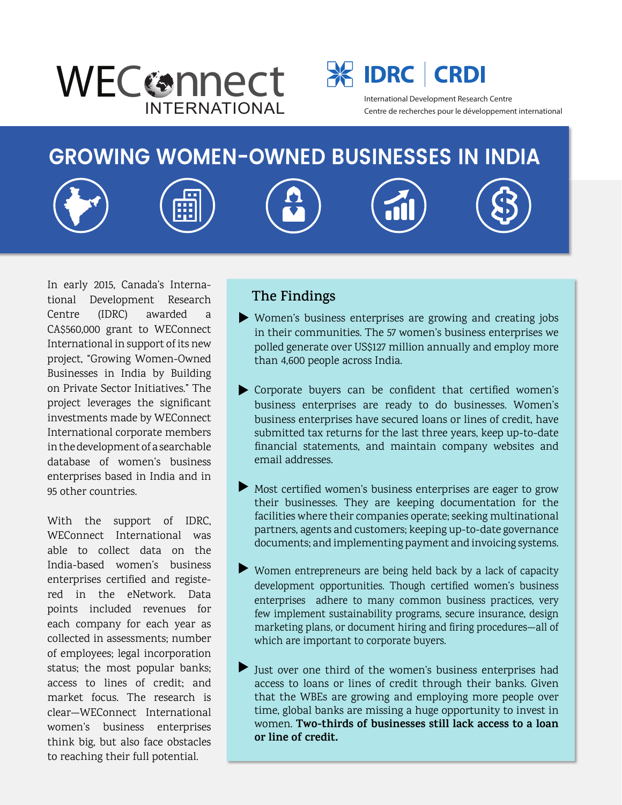## WECOMPECt **& IDRC CRDI** INTERNATIONAL



Centre de recherches pour le développement international

## **GROWING WOMEN-OWNED BUSINESSES IN INDIA**

In early 2015, Canada's International Development Research Centre (IDRC) awarded a CA\$560,000 grant to WEConnect International in support of its new project, "Growing Women-Owned Businesses in India by Building on Private Sector Initiatives." The project leverages the significant investments made by WEConnect International corporate members in the development of a searchable database of women's business enterprises based in India and in 95 other countries.

With the support of IDRC, WEConnect International was able to collect data on the India-based women's business enterprises certified and registered in the eNetwork. Data points included revenues for each company for each year as collected in assessments; number of employees; legal incorporation status; the most popular banks; access to lines of credit; and market focus. The research is clear—WEConnect International women's business enterprises think big, but also face obstacles to reaching their full potential.

## **The Findings**

- Women's business enterprises are growing and creating jobs in their communities. The 57 women's business enterprises we polled generate over US\$127 million annually and employ more than 4,600 people across India.
- $\blacktriangleright$  Corporate buyers can be confident that certified women's business enterprises are ready to do businesses. Women's business enterprises have secured loans or lines of credit, have submitted tax returns for the last three years, keep up-to-date financial statements, and maintain company websites and email addresses.
- $\blacktriangleright$  Most certified women's business enterprises are eager to grow their businesses. They are keeping documentation for the facilities where their companies operate; seeking multinational partners, agents and customers; keeping up-to-date governance documents; and implementing payment and invoicing systems.
- Women entrepreneurs are being held back by a lack of capacity development opportunities. Though certified women's business enterprises adhere to many common business practices, very few implement sustainability programs, secure insurance, design marketing plans, or document hiring and firing procedures—all of which are important to corporate buyers.
- Just over one third of the women's business enterprises had access to loans or lines of credit through their banks. Given that the WBEs are growing and employing more people over time, global banks are missing a huge opportunity to invest in women. **Two-thirds of businesses still lack access to a loan or line of credit.**